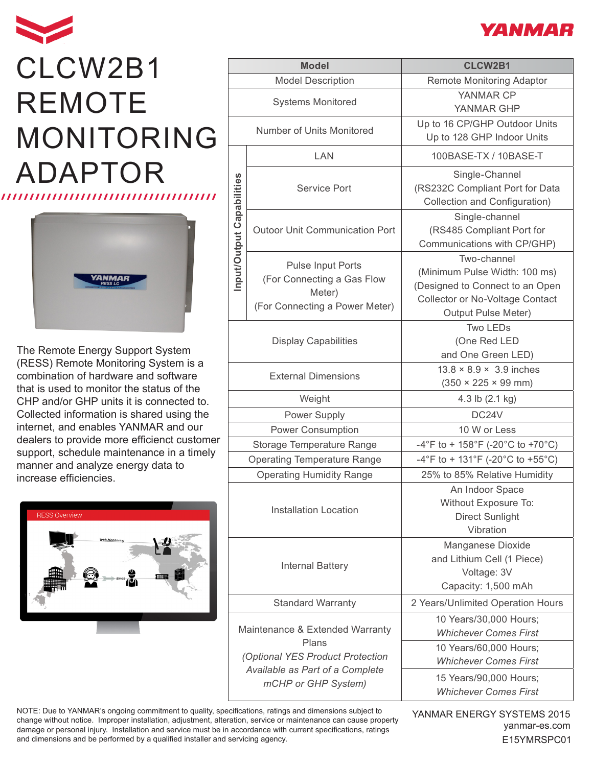## CLCW2B1 REMOTE MONITORING ADAPTOR



The Remote Energy Support System (RESS) Remote Monitoring System is a combination of hardware and software that is used to monitor the status of the CHP and/or GHP units it is connected to. Collected information is shared using the internet, and enables YANMAR and our dealers to provide more efficienct customer support, schedule maintenance in a timely manner and analyze energy data to increase efficiencies.



| <b>Model</b>                                                                 |                                                                                                    | <b>CLCW2B1</b>                                                                                                                                   |
|------------------------------------------------------------------------------|----------------------------------------------------------------------------------------------------|--------------------------------------------------------------------------------------------------------------------------------------------------|
| <b>Model Description</b>                                                     |                                                                                                    | Remote Monitoring Adaptor                                                                                                                        |
| <b>Systems Monitored</b>                                                     |                                                                                                    | YANMAR CP<br>YANMAR GHP                                                                                                                          |
| Number of Units Monitored                                                    |                                                                                                    | Up to 16 CP/GHP Outdoor Units<br>Up to 128 GHP Indoor Units                                                                                      |
| Input/Output Capabilities                                                    | LAN                                                                                                | 100BASE-TX / 10BASE-T                                                                                                                            |
|                                                                              | <b>Service Port</b>                                                                                | Single-Channel<br>(RS232C Compliant Port for Data<br>Collection and Configuration)                                                               |
|                                                                              | <b>Outoor Unit Communication Port</b>                                                              | Single-channel<br>(RS485 Compliant Port for<br>Communications with CP/GHP)                                                                       |
|                                                                              | <b>Pulse Input Ports</b><br>(For Connecting a Gas Flow<br>Meter)<br>(For Connecting a Power Meter) | Two-channel<br>(Minimum Pulse Width: 100 ms)<br>(Designed to Connect to an Open<br><b>Collector or No-Voltage Contact</b><br>Output Pulse Meter) |
| <b>Display Capabilities</b>                                                  |                                                                                                    | <b>Two LEDs</b><br>(One Red LED<br>and One Green LED)                                                                                            |
| <b>External Dimensions</b>                                                   |                                                                                                    | $13.8 \times 8.9 \times 3.9$ inches<br>$(350 \times 225 \times 99 \text{ mm})$                                                                   |
| Weight                                                                       |                                                                                                    | 4.3 lb (2.1 kg)                                                                                                                                  |
| Power Supply                                                                 |                                                                                                    | DC24V                                                                                                                                            |
| Power Consumption                                                            |                                                                                                    | 10 W or Less                                                                                                                                     |
| Storage Temperature Range                                                    |                                                                                                    | -4°F to + 158°F (-20°C to +70°C)                                                                                                                 |
| <b>Operating Temperature Range</b>                                           |                                                                                                    | -4°F to + 131°F (-20°C to +55°C)                                                                                                                 |
| <b>Operating Humidity Range</b>                                              |                                                                                                    | 25% to 85% Relative Humidity                                                                                                                     |
| <b>Installation Location</b>                                                 |                                                                                                    | An Indoor Space<br>Without Exposure To:<br><b>Direct Sunlight</b><br>Vibration                                                                   |
| <b>Internal Battery</b>                                                      |                                                                                                    | Manganese Dioxide<br>and Lithium Cell (1 Piece)<br>Voltage: 3V<br>Capacity: 1,500 mAh                                                            |
| <b>Standard Warranty</b>                                                     |                                                                                                    | 2 Years/Unlimited Operation Hours                                                                                                                |
| Maintenance & Extended Warranty<br>Plans<br>(Optional YES Product Protection |                                                                                                    | 10 Years/30,000 Hours;<br><b>Whichever Comes First</b><br>10 Years/60,000 Hours;<br><b>Whichever Comes First</b>                                 |
| Available as Part of a Complete<br>mCHP or GHP System)                       |                                                                                                    | 15 Years/90,000 Hours;<br><b>Whichever Comes First</b>                                                                                           |

NOTE: Due to YANMAR's ongoing commitment to quality, specifications, ratings and dimensions subject to change without notice. Improper installation, adjustment, alteration, service or maintenance can cause property damage or personal injury. Installation and service must be in accordance with current specifications, ratings and dimensions and be performed by a qualified installer and servicing agency.

yanmar-es.com YANMAR ENERGY SYSTEMS 2015 E15YMRSPC01